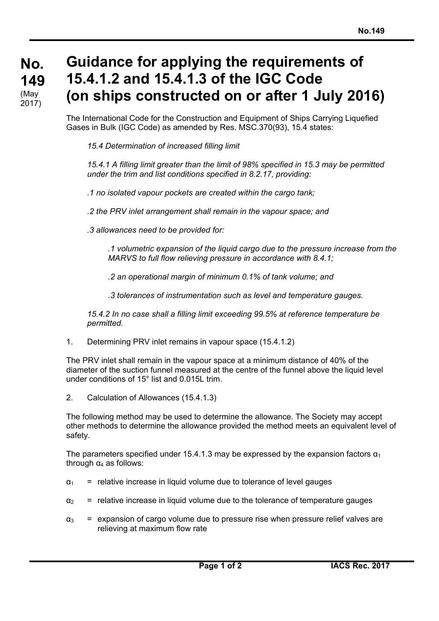**No. No. 149 149**  (May 2017)

**Guidance for applying the requirements of 15.4.1.2 and 15.4.1.3 of the IGC Code (on ships constructed on or after 1 July 2016)** 

The International Code for the Construction and Equipment of Ships Carrying Liquefied Gases in Bulk (IGC Code) as amended by Res. MSC.370(93), 15.4 states:

*15.4 Determination of increased filling limit* 

 *15.4.1 A filling limit greater than the limit of 98% specified in 15.3 may be permitted under the trim and list conditions specified in 8.2.17, providing:* 

 *.1 no isolated vapour pockets are created within the cargo tank;* 

 *.2 the PRV inlet arrangement shall remain in the vapour space; and* 

 *.3 allowances need to be provided for:* 

 *.1 volumetric expansion of the liquid cargo due to the pressure increase from the MARVS to full flow relieving pressure in accordance with 8.4.1;* 

 *.2 an operational margin of minimum 0.1% of tank volume; and* 

 *.3 tolerances of instrumentation such as level and temperature gauges.* 

 *15.4.2 In no case shall a filling limit exceeding 99.5% at reference temperature be permitted.* 

1. Determining PRV inlet remains in vapour space (15.4.1.2)

The PRV inlet shall remain in the vapour space at a minimum distance of 40% of the diameter of the suction funnel measured at the centre of the funnel above the liquid level under conditions of  $15^\circ$  list and 0.015L trim.

2. Calculation of Allowances (15.4.1.3)

 $\overline{a}$ 

The following method may be used to determine the allowance. The Society may accept other methods to determine the allowance provided the method meets an equivalent level of safety.

The parameters specified under 15.4.1.3 may be expressed by the expansion factors  $\alpha_1$ through  $α<sub>4</sub>$  as follows:

- $\alpha_1$  = relative increase in liquid volume due to tolerance of level gauges
- $\alpha$  = relative increase in liquid volume due to the tolerance of temperature gauges
- $\alpha_3$  = expansion of cargo volume due to pressure rise when pressure relief valves are relieving at maximum flow rate